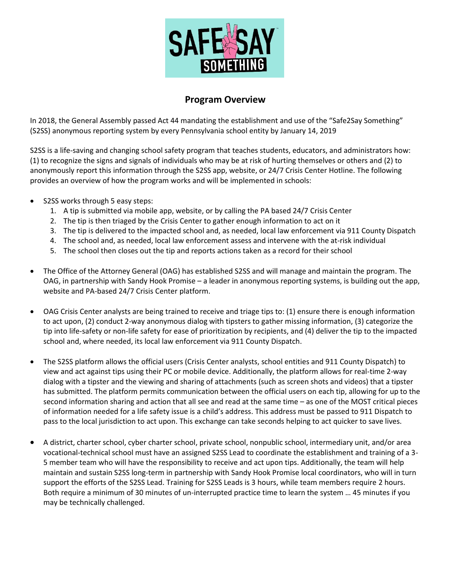

## **Program Overview**

In 2018, the General Assembly passed Act 44 mandating the establishment and use of the "Safe2Say Something" (S2SS) anonymous reporting system by every Pennsylvania school entity by January 14, 2019

S2SS is a life-saving and changing school safety program that teaches students, educators, and administrators how: (1) to recognize the signs and signals of individuals who may be at risk of hurting themselves or others and (2) to anonymously report this information through the S2SS app, website, or 24/7 Crisis Center Hotline. The following provides an overview of how the program works and will be implemented in schools:

- S2SS works through 5 easy steps:
	- 1. A tip is submitted via mobile app, website, or by calling the PA based 24/7 Crisis Center
	- 2. The tip is then triaged by the Crisis Center to gather enough information to act on it
	- 3. The tip is delivered to the impacted school and, as needed, local law enforcement via 911 County Dispatch
	- 4. The school and, as needed, local law enforcement assess and intervene with the at-risk individual
	- 5. The school then closes out the tip and reports actions taken as a record for their school
- The Office of the Attorney General (OAG) has established S2SS and will manage and maintain the program. The OAG, in partnership with Sandy Hook Promise – a leader in anonymous reporting systems, is building out the app, website and PA-based 24/7 Crisis Center platform.
- OAG Crisis Center analysts are being trained to receive and triage tips to: (1) ensure there is enough information to act upon, (2) conduct 2-way anonymous dialog with tipsters to gather missing information, (3) categorize the tip into life-safety or non-life safety for ease of prioritization by recipients, and (4) deliver the tip to the impacted school and, where needed, its local law enforcement via 911 County Dispatch.
- The S2SS platform allows the official users (Crisis Center analysts, school entities and 911 County Dispatch) to view and act against tips using their PC or mobile device. Additionally, the platform allows for real-time 2-way dialog with a tipster and the viewing and sharing of attachments (such as screen shots and videos) that a tipster has submitted. The platform permits communication between the official users on each tip, allowing for up to the second information sharing and action that all see and read at the same time – as one of the MOST critical pieces of information needed for a life safety issue is a child's address. This address must be passed to 911 Dispatch to pass to the local jurisdiction to act upon. This exchange can take seconds helping to act quicker to save lives.
- A district, charter school, cyber charter school, private school, nonpublic school, intermediary unit, and/or area vocational-technical school must have an assigned S2SS Lead to coordinate the establishment and training of a 3- 5 member team who will have the responsibility to receive and act upon tips. Additionally, the team will help maintain and sustain S2SS long-term in partnership with Sandy Hook Promise local coordinators, who will in turn support the efforts of the S2SS Lead. Training for S2SS Leads is 3 hours, while team members require 2 hours. Both require a minimum of 30 minutes of un-interrupted practice time to learn the system … 45 minutes if you may be technically challenged.